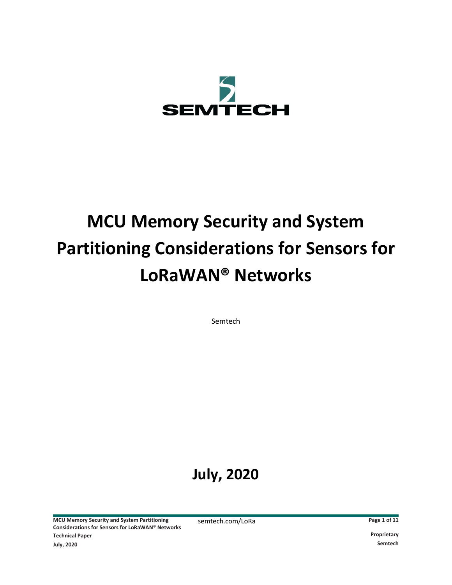

# **MCU Memory Security and System Partitioning Considerations for Sensors for LoRaWAN® Networks**

Semtech

# **July, 2020**

**MCU Memory Security and System Partitioning Considerations for Sensors for LoRaWAN® Networks Technical Paper Proprietary July, 2020 Semtech**

semtech.com/LoRa **Page 1 of 11**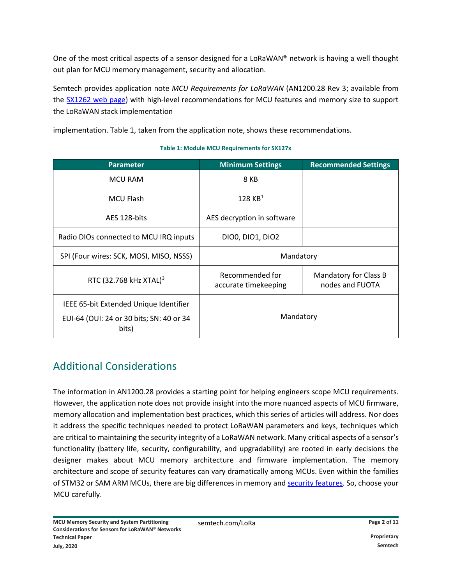One of the most critical aspects of a sensor designed for a LoRaWAN® network is having a well thought out plan for MCU memory management, security and allocation.

Semtech provides application note *[MCU Requirements for LoRaWAN](https://www.semtech.com/products/wireless-rf/lora-transceivers/sx1262)* (AN1200.28 Rev 3; available from the **SX1262** web page) with high-level recommendations for MCU features and memory size to support the LoRaWAN stack implementation

implementation. Table 1, taken from the application note, shows these recommendations.

# **Parameter Minimum Settings Recommended Settings** MCU RAM RESERVING A RESERVED BY A SAMPLE AND RESERVED BY A SAMPLE AND RESERVED BY A SAMPLE AND RESERVED BY A SAMPLE A SAMPLE ASSAULT. THE SAMPLE ASSAULT A SAMPLE ASSAULT A SAMPLE ASSAULT A SAMPLE ASSAULT A SAMPLE ASSAULT A MCU Flash  $128 \text{ KB}^1$ AES 128-bits **AES** decryption in software Radio DIOs connected to MCU IRQ inputs  $\vert$  DIO0, DIO1, DIO2 SPI (Four wires: SCK, MOSI, MISO, NSSS) | Mandatory RTC (32.768 kHz XTAL)<sup>3</sup> Recommended for accurate timekeeping Mandatory for Class B nodes and FUOTA IEEE 65-bit Extended Unique Identifier EUI-64 (OUI: 24 or 30 bits; SN: 40 or 34 bits) Mandatory

#### **Table 1: Module MCU Requirements for SX127x**

# Additional Considerations

The information in AN1200.28 provides a starting point for helping engineers scope MCU requirements. However, the application note does not provide insight into the more nuanced aspects of MCU firmware, memory allocation and implementation best practices, which this series of articles will address. Nor does it address the specific techniques needed to protect LoRaWAN parameters and keys, techniques which are critical to maintaining th[e security integrity of a LoRaWAN network](https://lora-alliance.org/resource-hub/lorawanr-secure-implementation-matters). Many critical aspects of a sensor's functionality (battery life, security, configurability, and upgradability) are rooted in early decisions the designer makes about MCU memory architecture and firmware implementation. The memory architecture and scope of security features can vary dramatically among MCUs. Even within the families of STM32 or SAM ARM MCUs, there are big differences in memory an[d security features.](https://blog.st.com/security-stm32/) So, choose your MCU carefully.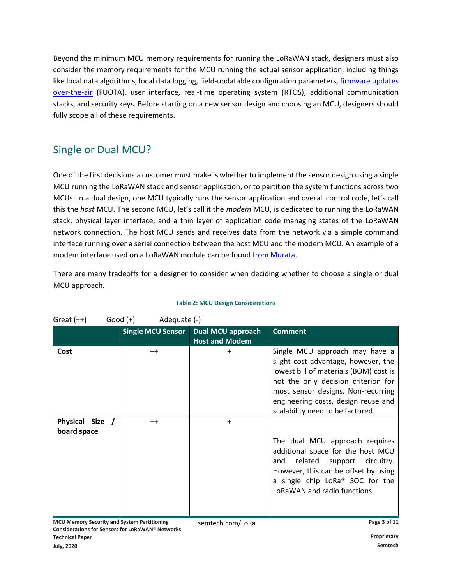Beyond the minimum MCU memory requirements for running the LoRaWAN stack, designers must also consider the memory requirements for the MCU running the actual sensor application, including things like local data algorithms, local data logging, field-updatable configuration parameters, firmware updates [over-the-air](https://lora-developers.semtech.com/library/tech-papers-and-guides/firmware-updates-over-the-air/) (FUOTA), user interface, real-time operating system (RTOS), additional communication stacks, and security keys. Before starting on a new sensor design and choosing an MCU, designers should fully scope all of these requirements.

# Single or Dual MCU?

One of the first decisions a customer must make is whether to implement the sensor design using a single MCU running the LoRaWAN stack and sensor application, or to partition the system functions across two MCUs. In a dual design, one MCU typically runs the sensor application and overall control code, let's call this the *host* MCU. The second MCU, let's call it the *modem* MCU, is dedicated to running the LoRaWAN stack, physical layer interface, and a thin layer of application code managing states of the LoRaWAN network connection. The host MCU sends and receives data from the network via a simple command interface running over a serial connection between the host MCU and the modem MCU. An example of a modem interface used on a LoRaWAN module can be found [from Murata.](https://wireless.murata.com/pub/RFM/data/SoftwareModem_Ref.pdf)

There are many tradeoffs for a designer to consider when deciding whether to choose a single or dual MCU approach.

| Great $(++)$                   | Adequate (-)<br>Good (+) |                                                                |                                                                                                                                                                                                                                                                         |
|--------------------------------|--------------------------|----------------------------------------------------------------|-------------------------------------------------------------------------------------------------------------------------------------------------------------------------------------------------------------------------------------------------------------------------|
|                                |                          | Single MCU Sensor   Dual MCU approach<br><b>Host and Modem</b> | <b>Comment</b>                                                                                                                                                                                                                                                          |
| Cost                           | $++$                     | $\ddot{}$                                                      | Single MCU approach may have a<br>slight cost advantage, however, the<br>lowest bill of materials (BOM) cost is<br>not the only decision criterion for<br>most sensor designs. Non-recurring<br>engineering costs, design reuse and<br>scalability need to be factored. |
| Physical Size /<br>board space | $^{++}$                  | $\ddot{}$                                                      | The dual MCU approach requires<br>additional space for the host MCU<br>related<br>support circuitry.<br>and<br>However, this can be offset by using<br>a single chip LoRa <sup>®</sup> SOC for the<br>LoRaWAN and radio functions.                                      |

**MCU Memory Security and System Partitioning Considerations for Sensors for LoRaWAN® Networks Technical Paper Proprietary**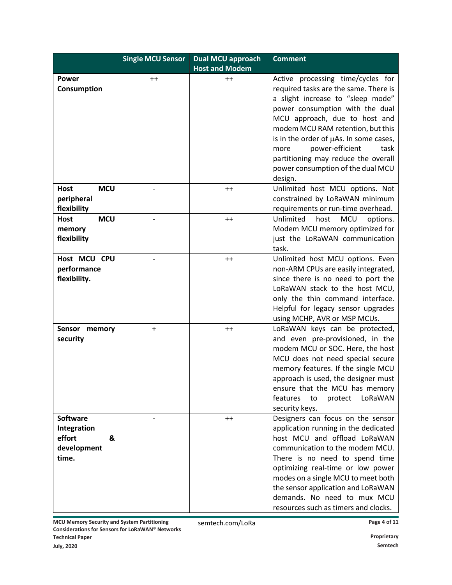|                                                                       | <b>Single MCU Sensor</b> | <b>Dual MCU approach</b><br><b>Host and Modem</b> | <b>Comment</b>                                                                                                                                                                                                                                                                                                                                                                               |
|-----------------------------------------------------------------------|--------------------------|---------------------------------------------------|----------------------------------------------------------------------------------------------------------------------------------------------------------------------------------------------------------------------------------------------------------------------------------------------------------------------------------------------------------------------------------------------|
| <b>Power</b><br>Consumption                                           | $^{++}$                  | $++$                                              | Active processing time/cycles for<br>required tasks are the same. There is<br>a slight increase to "sleep mode"<br>power consumption with the dual<br>MCU approach, due to host and<br>modem MCU RAM retention, but this<br>is in the order of µAs. In some cases,<br>power-efficient<br>task<br>more<br>partitioning may reduce the overall<br>power consumption of the dual MCU<br>design. |
| <b>MCU</b><br><b>Host</b><br>peripheral<br>flexibility                |                          | $++$                                              | Unlimited host MCU options. Not<br>constrained by LoRaWAN minimum<br>requirements or run-time overhead.                                                                                                                                                                                                                                                                                      |
| <b>MCU</b><br><b>Host</b><br>memory<br>flexibility                    |                          | $++$                                              | Unlimited<br><b>MCU</b><br>options.<br>host<br>Modem MCU memory optimized for<br>just the LoRaWAN communication<br>task.                                                                                                                                                                                                                                                                     |
| Host MCU CPU<br>performance<br>flexibility.                           |                          | $^{++}$                                           | Unlimited host MCU options. Even<br>non-ARM CPUs are easily integrated,<br>since there is no need to port the<br>LoRaWAN stack to the host MCU,<br>only the thin command interface.<br>Helpful for legacy sensor upgrades<br>using MCHP, AVR or MSP MCUs.                                                                                                                                    |
| Sensor memory<br>security                                             | $\ddot{}$                | $^{++}$                                           | LoRaWAN keys can be protected,<br>and even pre-provisioned, in the<br>modem MCU or SOC. Here, the host<br>MCU does not need special secure<br>memory features. If the single MCU<br>approach is used, the designer must<br>ensure that the MCU has memory<br>features<br>LoRaWAN<br>to<br>protect<br>security keys.                                                                          |
| <b>Software</b><br>Integration<br>effort<br>&<br>development<br>time. |                          | $^{++}$                                           | Designers can focus on the sensor<br>application running in the dedicated<br>host MCU and offload LoRaWAN<br>communication to the modem MCU.<br>There is no need to spend time<br>optimizing real-time or low power<br>modes on a single MCU to meet both<br>the sensor application and LoRaWAN<br>demands. No need to mux MCU<br>resources such as timers and clocks.                       |

**MCU Memory Security and System Partitioning Considerations for Sensors for LoRaWAN® Networks Technical Paper Proprietary** 

semtech.com/LoRa **Page 4** of 11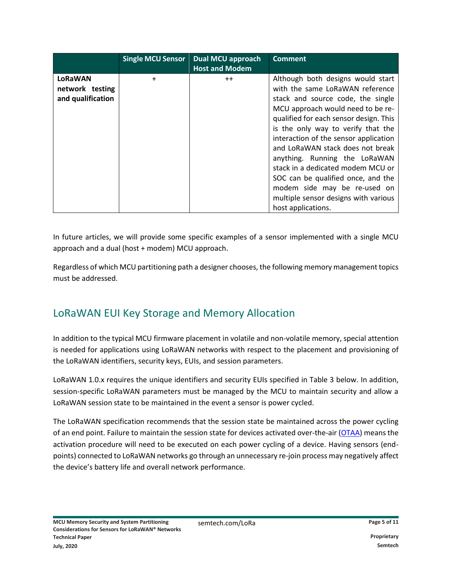|                                                 | <b>Single MCU Sensor</b> | <b>Dual MCU approach</b><br><b>Host and Modem</b> | <b>Comment</b>                                                                                                                                                                                                                                                                                                                                                                                                                                                                                                        |
|-------------------------------------------------|--------------------------|---------------------------------------------------|-----------------------------------------------------------------------------------------------------------------------------------------------------------------------------------------------------------------------------------------------------------------------------------------------------------------------------------------------------------------------------------------------------------------------------------------------------------------------------------------------------------------------|
| LoRaWAN<br>network testing<br>and qualification | $\ddot{}$                | $++$                                              | Although both designs would start<br>with the same LoRaWAN reference<br>stack and source code, the single<br>MCU approach would need to be re-<br>qualified for each sensor design. This<br>is the only way to verify that the<br>interaction of the sensor application<br>and LoRaWAN stack does not break<br>anything. Running the LoRaWAN<br>stack in a dedicated modem MCU or<br>SOC can be qualified once, and the<br>modem side may be re-used on<br>multiple sensor designs with various<br>host applications. |

In future articles, we will provide some specific examples of a sensor implemented with a single MCU approach and a dual (host + modem) MCU approach.

Regardless of which MCU partitioning path a designer chooses, the following memory management topics must be addressed.

# LoRaWAN EUI Key Storage and Memory Allocation

In addition to the typical MCU firmware placement in volatile and non-volatile memory, special attention is needed for applications using LoRaWAN networks with respect to the placement and provisioning of the LoRaWAN identifiers, security keys, EUIs, and session parameters.

LoRaWAN 1.0.x requires the unique identifiers and security EUIs specified in [Table 3](#page-5-0) below. In addition, session-specific LoRaWAN parameters must be managed by the MCU to maintain security and allow a LoRaWAN session state to be maintained in the event a sensor is power cycled.

The LoRaWAN specification recommends that the session state be maintained across the power cycling of an end point. Failure to maintain the session state for devices activated over-the-air [\(OTAA\)](https://lora-developers.semtech.com/library/tech-papers-and-guides/lora-and-lorawan/) means the activation procedure will need to be executed on each power cycling of a device. Having sensors (endpoints) connected to LoRaWAN networks go through an unnecessary re-join process may negatively affect the device's battery life and overall network performance.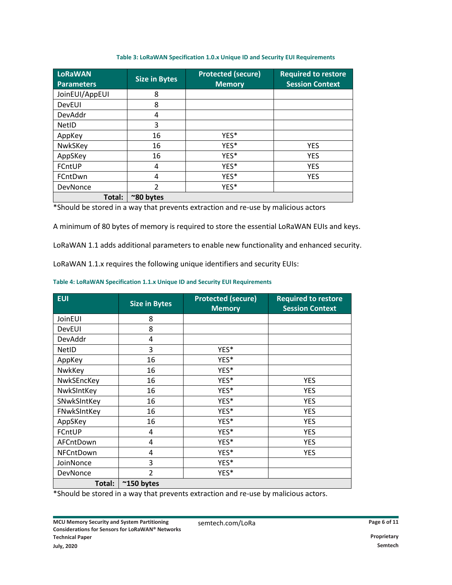#### **Table 3: LoRaWAN Specification 1.0.x Unique ID and Security EUI Requirements**

<span id="page-5-0"></span>

| <b>LoRaWAN</b><br><b>Parameters</b> | <b>Size in Bytes</b> | <b>Protected (secure)</b><br><b>Memory</b> | <b>Required to restore</b><br><b>Session Context</b> |
|-------------------------------------|----------------------|--------------------------------------------|------------------------------------------------------|
| JoinEUI/AppEUI                      | 8                    |                                            |                                                      |
| <b>DevEUI</b>                       | 8                    |                                            |                                                      |
| DevAddr                             | 4                    |                                            |                                                      |
| <b>NetID</b>                        | 3                    |                                            |                                                      |
| AppKey                              | 16                   | YES*                                       |                                                      |
| NwkSKey                             | 16                   | YES*                                       | <b>YES</b>                                           |
| AppSKey                             | 16                   | YES*                                       | <b>YES</b>                                           |
| FCntUP                              | 4                    | YES*                                       | <b>YES</b>                                           |
| FCntDwn                             | 4                    | YES*                                       | <b>YES</b>                                           |
| <b>DevNonce</b>                     | $\overline{2}$       | YES*                                       |                                                      |
| Total:                              | ~80 bytes            |                                            |                                                      |

\*Should be stored in a way that prevents extraction and re-use by malicious actors

A minimum of 80 bytes of memory is required to store the essential LoRaWAN EUIs and keys.

LoRaWAN 1.1 adds additional parameters to enable new functionality and enhanced security.

LoRaWAN 1.1.x requires the following unique identifiers and security EUIs:

#### **Table 4: LoRaWAN Specification 1.1.x Unique ID and Security EUI Requirements**

| <b>EUI</b>    | <b>Size in Bytes</b>    | <b>Protected (secure)</b><br><b>Memory</b> | <b>Required to restore</b><br><b>Session Context</b> |
|---------------|-------------------------|--------------------------------------------|------------------------------------------------------|
| JoinEUI       | 8                       |                                            |                                                      |
| <b>DevEUI</b> | 8                       |                                            |                                                      |
| DevAddr       | 4                       |                                            |                                                      |
| <b>NetID</b>  | 3                       | YES*                                       |                                                      |
| AppKey        | 16                      | YES*                                       |                                                      |
| NwkKey        | 16                      | YES*                                       |                                                      |
| NwkSEncKey    | 16                      | YES*                                       | <b>YES</b>                                           |
| NwkSIntKey    | 16                      | YES*                                       | <b>YES</b>                                           |
| SNwkSIntKey   | 16                      | YES*                                       | <b>YES</b>                                           |
| FNwkSIntKey   | 16                      | YES*                                       | <b>YES</b>                                           |
| AppSKey       | 16                      | YES*                                       | <b>YES</b>                                           |
| FCntUP        | 4                       | YES*                                       | <b>YES</b>                                           |
| AFCntDown     | 4                       | YES <sup>*</sup>                           | <b>YES</b>                                           |
| NFCntDown     | 4                       | YES <sup>*</sup>                           | <b>YES</b>                                           |
| JoinNonce     | 3                       | YES*                                       |                                                      |
| DevNonce      | $\overline{\mathbf{c}}$ | YES*                                       |                                                      |
| Total:        | $^{\sim}$ 150 bytes     |                                            |                                                      |

\*Should be stored in a way that prevents extraction and re-use by malicious actors.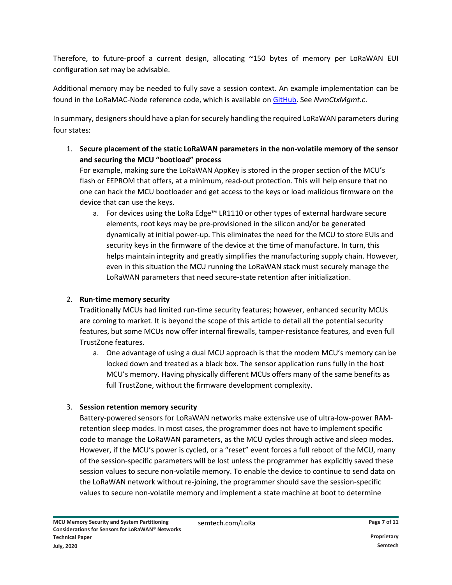Therefore, to future-proof a current design, allocating ~150 bytes of memory per LoRaWAN EUI configuration set may be advisable.

Additional memory may be needed to fully save a session context. An example implementation can be found in the LoRaMAC-Node reference code, which is available on [GitHub.](https://github.com/Lora-net/LoRaMac-node/tree/master/src/apps/LoRaMac/common) See *NvmCtxMgmt.c*.

In summary, designers should have a plan for securely handling the required LoRaWAN parameters during four states:

1. **Secure placement of the static LoRaWAN parameters in the non-volatile memory of the sensor and securing the MCU "bootload" process**

For example, making sure the LoRaWAN AppKey is stored in the proper section of the MCU's flash or EEPROM that offers, at a minimum, read-out protection. This will help ensure that no one can hack the MCU bootloader and get access to the keys or load malicious firmware on the device that can use the keys.

a. For devices using the LoRa Edge™ LR1110 or other types of external hardware secure elements, root keys may be pre-provisioned in the silicon and/or be generated dynamically at initial power-up. This eliminates the need for the MCU to store EUIs and security keys in the firmware of the device at the time of manufacture. In turn, this helps maintain integrity and greatly simplifies the manufacturing supply chain. However, even in this situation the MCU running the LoRaWAN stack must securely manage the LoRaWAN parameters that need secure-state retention after initialization.

#### 2. **Run-time memory security**

Traditionally MCUs had limited run-time security features; however, enhanced security MCUs are coming to market. It is beyond the scope of this article to detail all the potential security features, but some MCUs now offer internal firewalls, tamper-resistance features, and even full TrustZone features.

a. One advantage of using a dual MCU approach is that the modem MCU's memory can be locked down and treated as a black box. The sensor application runs fully in the host MCU's memory. Having physically different MCUs offers many of the same benefits as full TrustZone, without the firmware development complexity.

#### 3. **Session retention memory security**

Battery-powered sensors for LoRaWAN networks make extensive use of ultra-low-power RAMretention sleep modes. In most cases, the programmer does not have to implement specific code to manage the LoRaWAN parameters, as the MCU cycles through active and sleep modes. However, if the MCU's power is cycled, or a "reset" event forces a full reboot of the MCU, many of the session-specific parameters will be lost unless the programmer has explicitly saved these session values to secure non-volatile memory. To enable the device to continue to send data on the LoRaWAN network without re-joining, the programmer should save the session-specific values to secure non-volatile memory and implement a state machine at boot to determine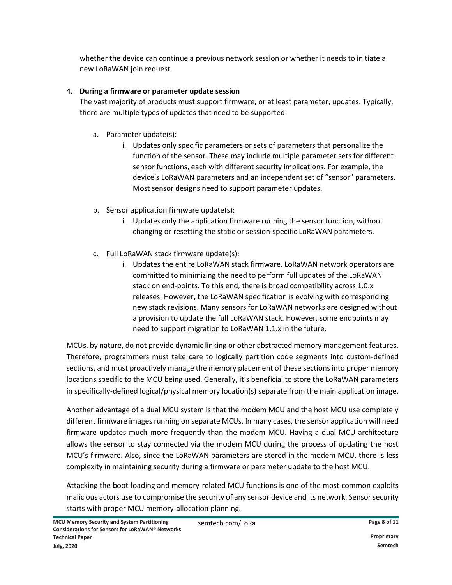whether the device can continue a previous network session or whether it needs to initiate a new LoRaWAN join request.

#### 4. **During a firmware or parameter update session**

The vast majority of products must support firmware, or at least parameter, updates. Typically, there are multiple types of updates that need to be supported:

- a. Parameter update(s):
	- i. Updates only specific parameters or sets of parameters that personalize the function of the sensor. These may include multiple parameter sets for different sensor functions, each with different security implications. For example, the device's LoRaWAN parameters and an independent set of "sensor" parameters. Most sensor designs need to support parameter updates.
- b. Sensor application firmware update(s):
	- i. Updates only the application firmware running the sensor function, without changing or resetting the static or session-specific LoRaWAN parameters.
- c. Full LoRaWAN stack firmware update(s):
	- i. Updates the entire LoRaWAN stack firmware. LoRaWAN network operators are committed to minimizing the need to perform full updates of the LoRaWAN stack on end-points. To this end, there is broad compatibility across 1.0.x releases. However, the LoRaWAN specification is evolving with corresponding new stack revisions. Many sensors for LoRaWAN networks are designed without a provision to update the full LoRaWAN stack. However, some endpoints may need to support migration to LoRaWAN 1.1.x in the future.

MCUs, by nature, do not provide dynamic linking or other abstracted memory management features. Therefore, programmers must take care to logically partition code segments into custom-defined sections, and must proactively manage the memory placement of these sections into proper memory locations specific to the MCU being used. Generally, it's beneficial to store the LoRaWAN parameters in specifically-defined logical/physical memory location(s) separate from the main application image.

Another advantage of a dual MCU system is that the modem MCU and the host MCU use completely different firmware images running on separate MCUs. In many cases, the sensor application will need firmware updates much more frequently than the modem MCU. Having a dual MCU architecture allows the sensor to stay connected via the modem MCU during the process of updating the host MCU's firmware. Also, since the LoRaWAN parameters are stored in the modem MCU, there is less complexity in maintaining security during a firmware or parameter update to the host MCU.

Attacking the boot-loading and memory-related MCU functions is one of the most common exploits malicious actors use to compromise the security of any sensor device and its network. Sensor security starts with proper MCU memory-allocation planning.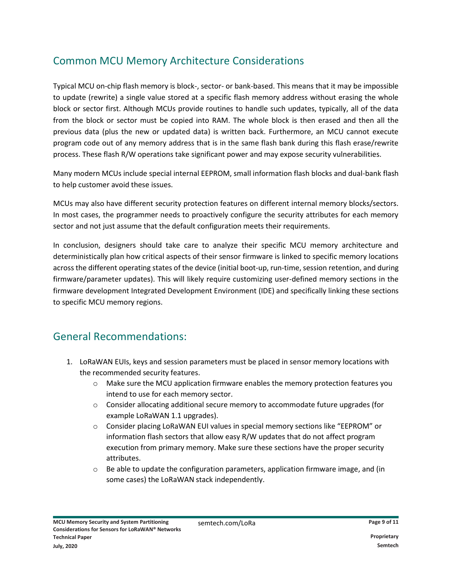# Common MCU Memory Architecture Considerations

Typical MCU on-chip flash memory is block-, sector- or bank-based. This means that it may be impossible to update (rewrite) a single value stored at a specific flash memory address without erasing the whole block or sector first. Although MCUs provide routines to handle such updates, typically, all of the data from the block or sector must be copied into RAM. The whole block is then erased and then all the previous data (plus the new or updated data) is written back. Furthermore, an MCU cannot execute program code out of any memory address that is in the same flash bank during this flash erase/rewrite process. These flash R/W operations take significant power and may expose security vulnerabilities.

Many modern MCUs include special internal EEPROM, small information flash blocks and dual-bank flash to help customer avoid these issues.

MCUs may also have different security protection features on different internal memory blocks/sectors. In most cases, the programmer needs to proactively configure the security attributes for each memory sector and not just assume that the default configuration meets their requirements.

In conclusion, designers should take care to analyze their specific MCU memory architecture and deterministically plan how critical aspects of their sensor firmware is linked to specific memory locations across the different operating states of the device (initial boot-up, run-time, session retention, and during firmware/parameter updates). This will likely require customizing user-defined memory sections in the firmware development Integrated Development Environment (IDE) and specifically linking these sections to specific MCU memory regions.

# General Recommendations:

- 1. LoRaWAN EUIs, keys and session parameters must be placed in sensor memory locations with the recommended security features.
	- $\circ$  Make sure the MCU application firmware enables the memory protection features you intend to use for each memory sector.
	- $\circ$  Consider allocating additional secure memory to accommodate future upgrades (for example LoRaWAN 1.1 upgrades).
	- o Consider placing LoRaWAN EUI values in special memory sections like "EEPROM" or information flash sectors that allow easy R/W updates that do not affect program execution from primary memory. Make sure these sections have the proper security attributes.
	- $\circ$  Be able to update the configuration parameters, application firmware image, and (in some cases) the LoRaWAN stack independently.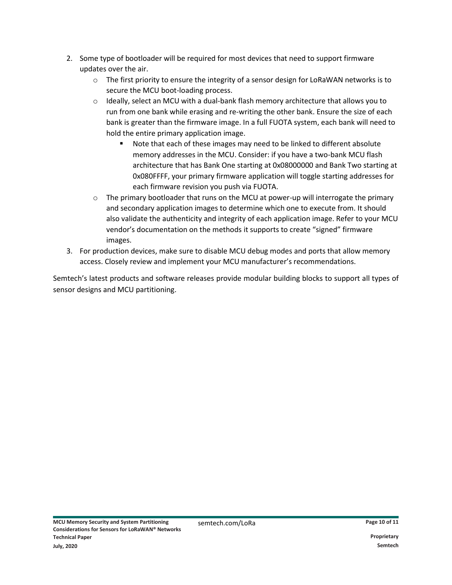- 2. Some type of bootloader will be required for most devices that need to support firmware updates over the air.
	- $\circ$  The first priority to ensure the integrity of a sensor design for LoRaWAN networks is to secure the MCU boot-loading process.
	- $\circ$  Ideally, select an MCU with a dual-bank flash memory architecture that allows you to run from one bank while erasing and re-writing the other bank. Ensure the size of each bank is greater than the firmware image. In a full FUOTA system, each bank will need to hold the entire primary application image.
		- Note that each of these images may need to be linked to different absolute memory addresses in the MCU. Consider: if you have a two-bank MCU flash architecture that has Bank One starting at 0x08000000 and Bank Two starting at 0x080FFFF, your primary firmware application will toggle starting addresses for each firmware revision you push via FUOTA.
	- $\circ$  The primary bootloader that runs on the MCU at power-up will interrogate the primary and secondary application images to determine which one to execute from. It should also validate the authenticity and integrity of each application image. Refer to your MCU vendor's documentation on the methods it supports to create "signed" firmware images.
- 3. For production devices, make sure to disable MCU debug modes and ports that allow memory access. Closely review and implement your MCU manufacturer's recommendations.

Semtech's latest products and software releases provide modular building blocks to support all types of sensor designs and MCU partitioning.